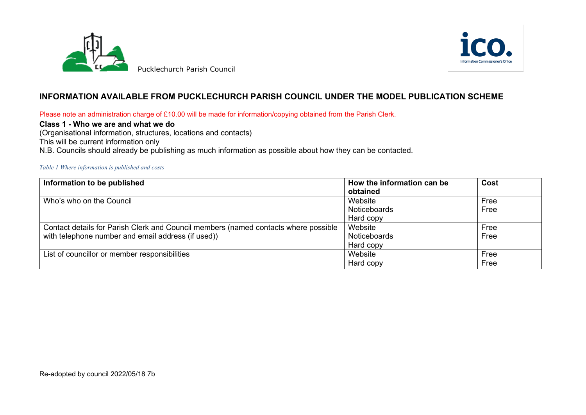



# **INFORMATION AVAILABLE FROM PUCKLECHURCH PARISH COUNCIL UNDER THE MODEL PUBLICATION SCHEME**

Please note an administration charge of £10.00 will be made for information/copying obtained from the Parish Clerk.

## **Class 1 - Who we are and what we do**

(Organisational information, structures, locations and contacts)

This will be current information only

N.B. Councils should already be publishing as much information as possible about how they can be contacted.

#### *Table 1 Where information is published and costs*

| Information to be published                                                         | How the information can be | Cost |
|-------------------------------------------------------------------------------------|----------------------------|------|
|                                                                                     | obtained                   |      |
| Who's who on the Council                                                            | Website                    | Free |
|                                                                                     | Noticeboards               | Free |
|                                                                                     | Hard copy                  |      |
| Contact details for Parish Clerk and Council members (named contacts where possible | Website                    | Free |
| with telephone number and email address (if used))                                  | Noticeboards               | Free |
|                                                                                     | Hard copy                  |      |
| List of councillor or member responsibilities                                       | Website                    | Free |
|                                                                                     | Hard copy                  | Free |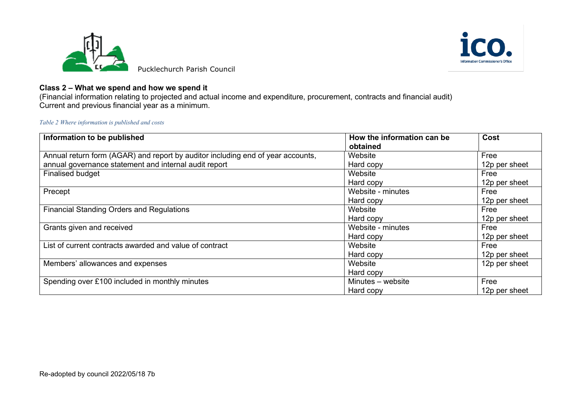



# **Class 2 – What we spend and how we spend it**

(Financial information relating to projected and actual income and expenditure, procurement, contracts and financial audit) Current and previous financial year as a minimum.

*Table 2 Where information is published and costs*

| Information to be published                                                     | How the information can be<br>obtained | Cost          |
|---------------------------------------------------------------------------------|----------------------------------------|---------------|
|                                                                                 |                                        |               |
| Annual return form (AGAR) and report by auditor including end of year accounts, | Website                                | Free          |
| annual governance statement and internal audit report                           | Hard copy                              | 12p per sheet |
| Finalised budget                                                                | Website                                | Free          |
|                                                                                 | Hard copy                              | 12p per sheet |
| Precept                                                                         | Website - minutes                      | Free          |
|                                                                                 | Hard copy                              | 12p per sheet |
| <b>Financial Standing Orders and Regulations</b>                                | Website                                | Free          |
|                                                                                 | Hard copy                              | 12p per sheet |
| Grants given and received                                                       | Website - minutes                      | Free          |
|                                                                                 | Hard copy                              | 12p per sheet |
| List of current contracts awarded and value of contract                         | Website                                | Free          |
|                                                                                 | Hard copy                              | 12p per sheet |
| Members' allowances and expenses                                                | Website                                | 12p per sheet |
|                                                                                 | Hard copy                              |               |
| Spending over £100 included in monthly minutes                                  | Minutes - website                      | Free          |
|                                                                                 | Hard copy                              | 12p per sheet |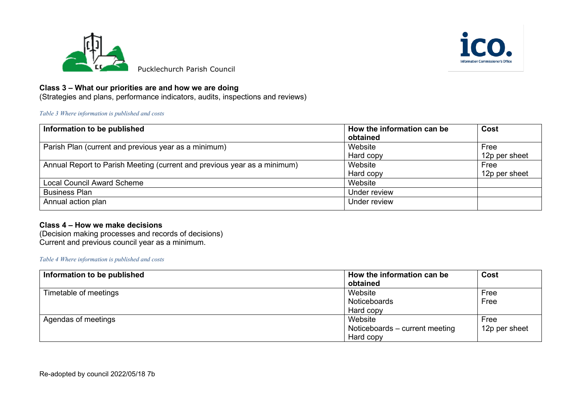



## **Class 3 – What our priorities are and how we are doing**

(Strategies and plans, performance indicators, audits, inspections and reviews)

### *Table 3 Where information is published and costs*

| Information to be published                                              | How the information can be<br>obtained | Cost          |
|--------------------------------------------------------------------------|----------------------------------------|---------------|
| Parish Plan (current and previous year as a minimum)                     | Website                                | Free          |
|                                                                          | Hard copy                              | 12p per sheet |
| Annual Report to Parish Meeting (current and previous year as a minimum) | Website                                | Free          |
|                                                                          | Hard copy                              | 12p per sheet |
| <b>Local Council Award Scheme</b>                                        | Website                                |               |
| <b>Business Plan</b>                                                     | Under review                           |               |
| Annual action plan                                                       | Under review                           |               |

## **Class 4 – How we make decisions**

(Decision making processes and records of decisions) Current and previous council year as a minimum.

### *Table 4 Where information is published and costs*

| Information to be published | How the information can be     | Cost          |
|-----------------------------|--------------------------------|---------------|
|                             | obtained                       |               |
| Timetable of meetings       | Website                        | Free          |
|                             | Noticeboards                   | Free          |
|                             | Hard copy                      |               |
| Agendas of meetings         | Website                        | Free          |
|                             | Noticeboards - current meeting | 12p per sheet |
|                             | Hard copy                      |               |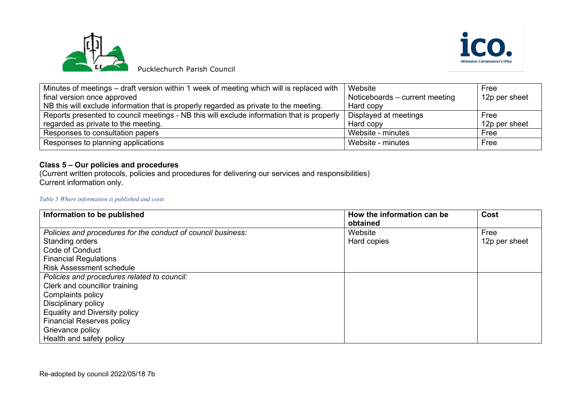



Pucklechurch Parish Council

| Minutes of meetings – draft version within 1 week of meeting which will is replaced with  | Website                        | Free          |
|-------------------------------------------------------------------------------------------|--------------------------------|---------------|
| final version once approved                                                               | Noticeboards – current meeting | 12p per sheet |
| NB this will exclude information that is properly regarded as private to the meeting.     | Hard copy                      |               |
| Reports presented to council meetings - NB this will exclude information that is properly | Displayed at meetings          | Free          |
| regarded as private to the meeting.                                                       | Hard copy                      | 12p per sheet |
| Responses to consultation papers                                                          | Website - minutes              | Free          |
| Responses to planning applications                                                        | Website - minutes              | Free          |

# **Class 5 – Our policies and procedures**

(Current written protocols, policies and procedures for delivering our services and responsibilities) Current information only.

### *Table 5 Where information is published and costs*

| Information to be published                                  | How the information can be<br>obtained | Cost          |
|--------------------------------------------------------------|----------------------------------------|---------------|
| Policies and procedures for the conduct of council business: | Website                                | Free          |
| Standing orders                                              | Hard copies                            | 12p per sheet |
| <b>Code of Conduct</b>                                       |                                        |               |
| <b>Financial Regulations</b>                                 |                                        |               |
| <b>Risk Assessment schedule</b>                              |                                        |               |
| Policies and procedures related to council:                  |                                        |               |
| Clerk and councillor training                                |                                        |               |
| Complaints policy                                            |                                        |               |
| Disciplinary policy                                          |                                        |               |
| <b>Equality and Diversity policy</b>                         |                                        |               |
| <b>Financial Reserves policy</b>                             |                                        |               |
| Grievance policy                                             |                                        |               |
| Health and safety policy                                     |                                        |               |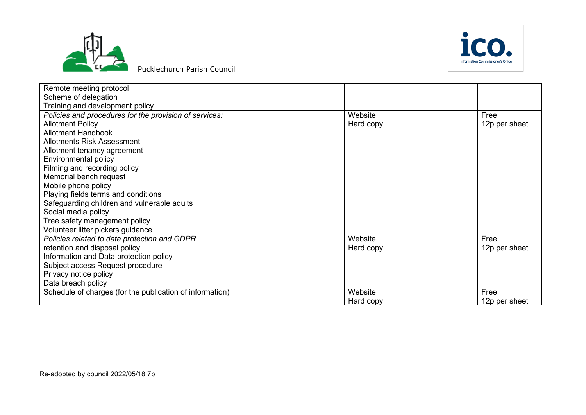



Pucklechurch Parish Council

| Remote meeting protocol                                  |           |               |
|----------------------------------------------------------|-----------|---------------|
| Scheme of delegation                                     |           |               |
| Training and development policy                          |           |               |
| Policies and procedures for the provision of services:   | Website   | Free          |
| <b>Allotment Policy</b>                                  | Hard copy | 12p per sheet |
| <b>Allotment Handbook</b>                                |           |               |
| <b>Allotments Risk Assessment</b>                        |           |               |
| Allotment tenancy agreement                              |           |               |
| Environmental policy                                     |           |               |
| Filming and recording policy                             |           |               |
| Memorial bench request                                   |           |               |
| Mobile phone policy                                      |           |               |
| Playing fields terms and conditions                      |           |               |
| Safeguarding children and vulnerable adults              |           |               |
| Social media policy                                      |           |               |
| Tree safety management policy                            |           |               |
| Volunteer litter pickers guidance                        |           |               |
| Policies related to data protection and GDPR             | Website   | Free          |
| retention and disposal policy                            | Hard copy | 12p per sheet |
| Information and Data protection policy                   |           |               |
| Subject access Request procedure                         |           |               |
| Privacy notice policy                                    |           |               |
| Data breach policy                                       |           |               |
| Schedule of charges (for the publication of information) | Website   | Free          |
|                                                          | Hard copy | 12p per sheet |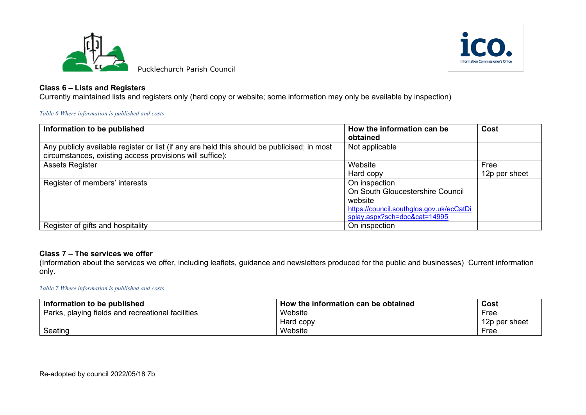



## **Class 6 – Lists and Registers**

Currently maintained lists and registers only (hard copy or website; some information may only be available by inspection)

*Table 6 Where information is published and costs*

| Information to be published                                                                                                                             | How the information can be<br>obtained                                                                                                   | Cost                  |
|---------------------------------------------------------------------------------------------------------------------------------------------------------|------------------------------------------------------------------------------------------------------------------------------------------|-----------------------|
| Any publicly available register or list (if any are held this should be publicised; in most<br>circumstances, existing access provisions will suffice): | Not applicable                                                                                                                           |                       |
| Assets Register                                                                                                                                         | Website<br>Hard copy                                                                                                                     | Free<br>12p per sheet |
| Register of members' interests                                                                                                                          | On inspection<br>On South Gloucestershire Council<br>website<br>https://council.southglos.gov.uk/ecCatDi<br>splay.aspx?sch=doc&cat=14995 |                       |
| Register of gifts and hospitality                                                                                                                       | On inspection                                                                                                                            |                       |

## **Class 7 – The services we offer**

(Information about the services we offer, including leaflets, guidance and newsletters produced for the public and businesses)Current information only.

#### *Table 7 Where information is published and costs*

| Information to be published                       | How the information can be obtained | Cost          |
|---------------------------------------------------|-------------------------------------|---------------|
| Parks, playing fields and recreational facilities | Website                             | Free          |
|                                                   | Hard copy                           | 12p per sheet |
| Seating                                           | Website                             | Free          |